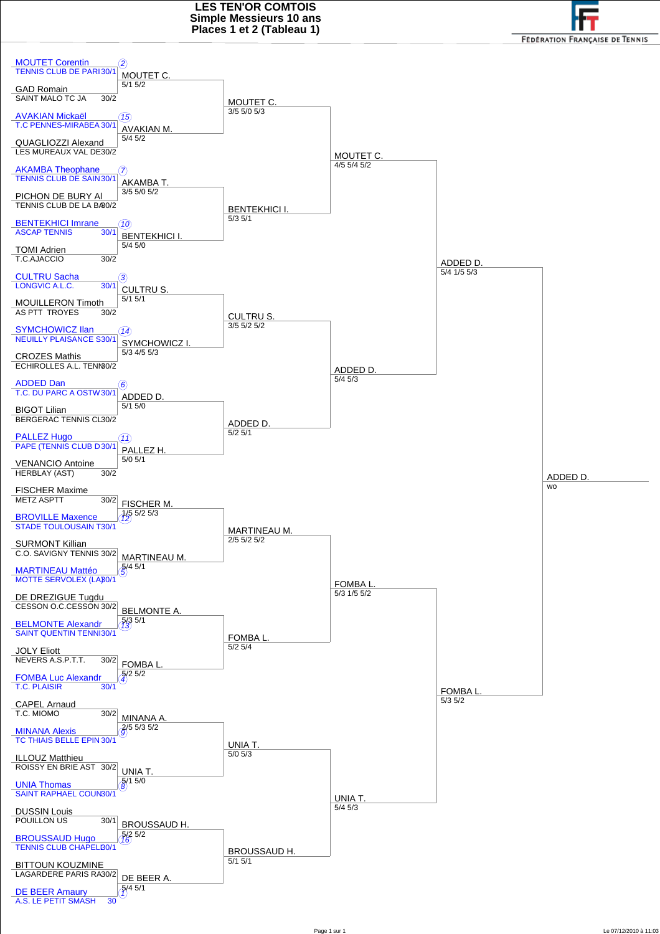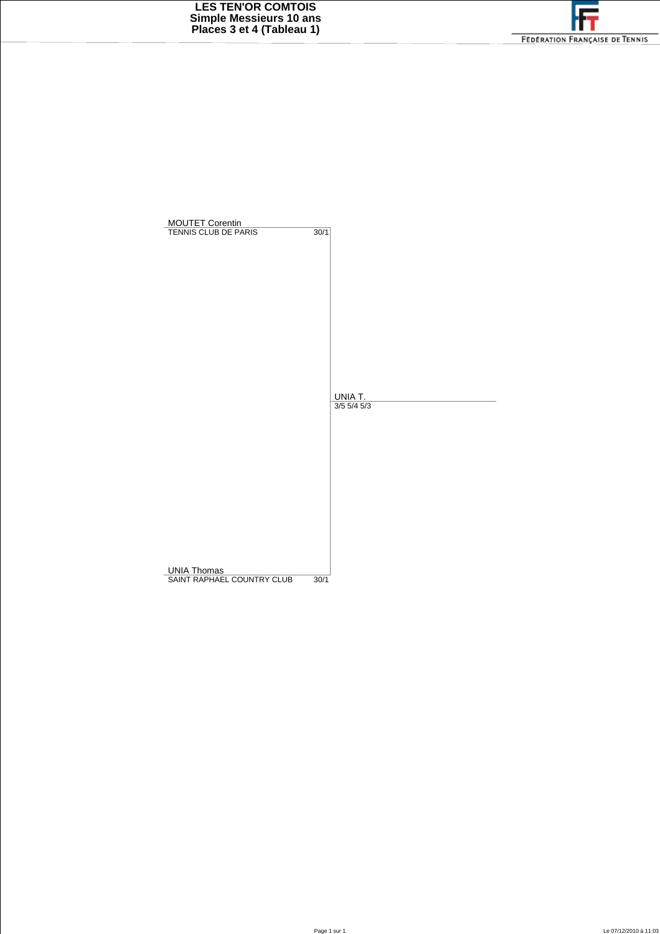

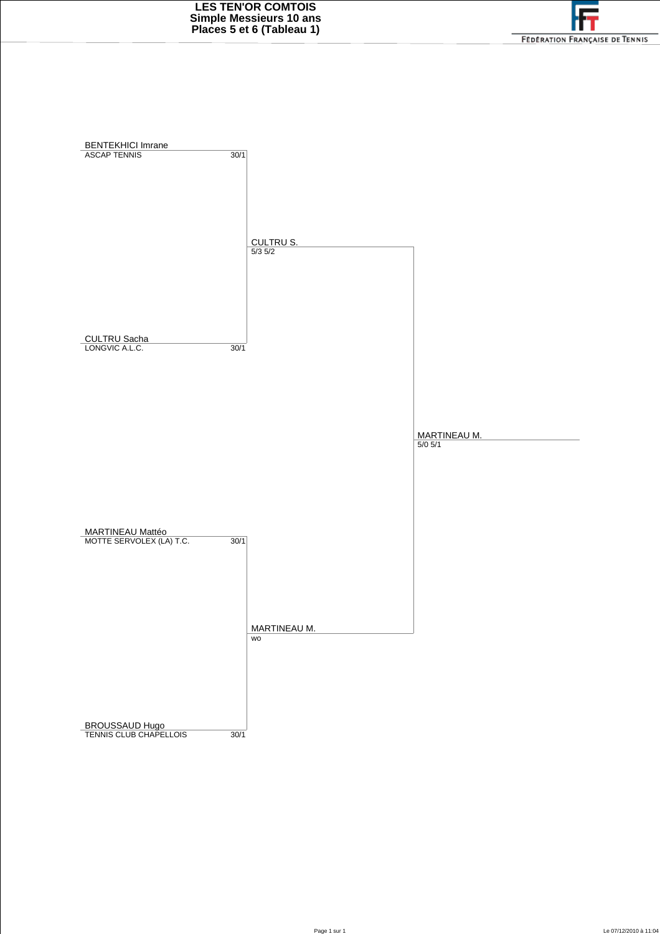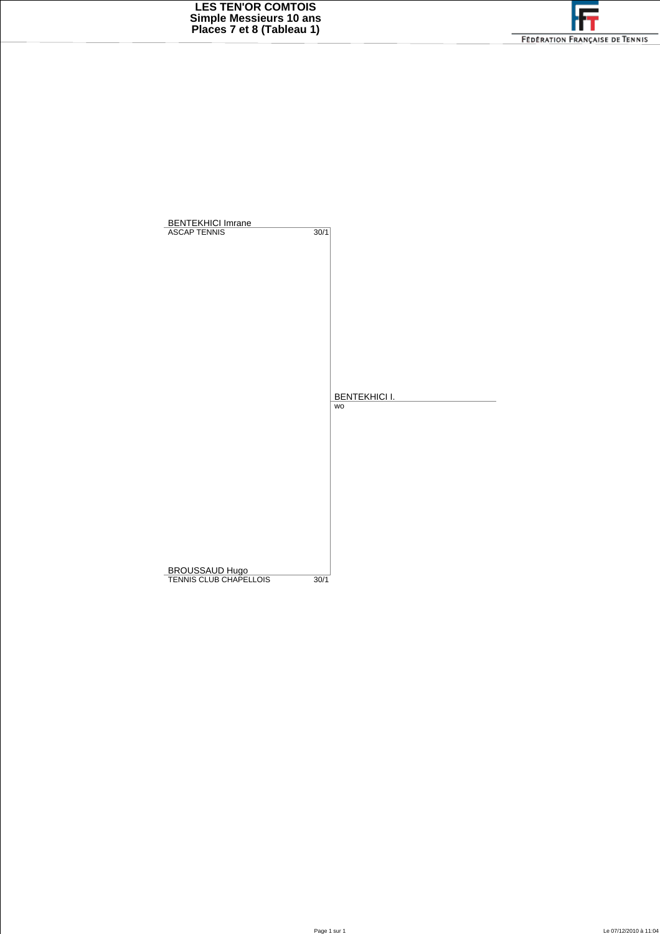

| <b>BENTEKHICI Imrane</b><br><b>ASCAP TENNIS</b> | 30/1 |                            |
|-------------------------------------------------|------|----------------------------|
|                                                 |      |                            |
|                                                 |      |                            |
|                                                 |      |                            |
|                                                 |      |                            |
|                                                 |      |                            |
|                                                 |      |                            |
|                                                 |      | <b>BENTEKHICI I.</b><br>WO |
|                                                 |      |                            |
|                                                 |      |                            |
|                                                 |      |                            |
|                                                 |      |                            |
|                                                 |      |                            |
|                                                 |      |                            |
| BROUSSAUD Hugo<br>TENNIS CLUB CHAPELLOIS        |      |                            |
|                                                 | 30/1 |                            |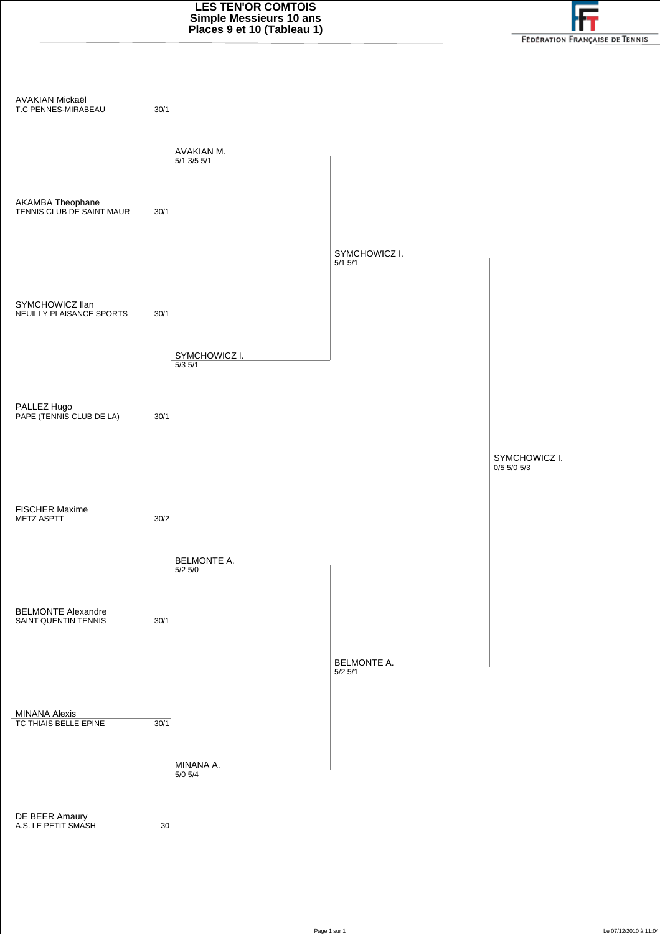

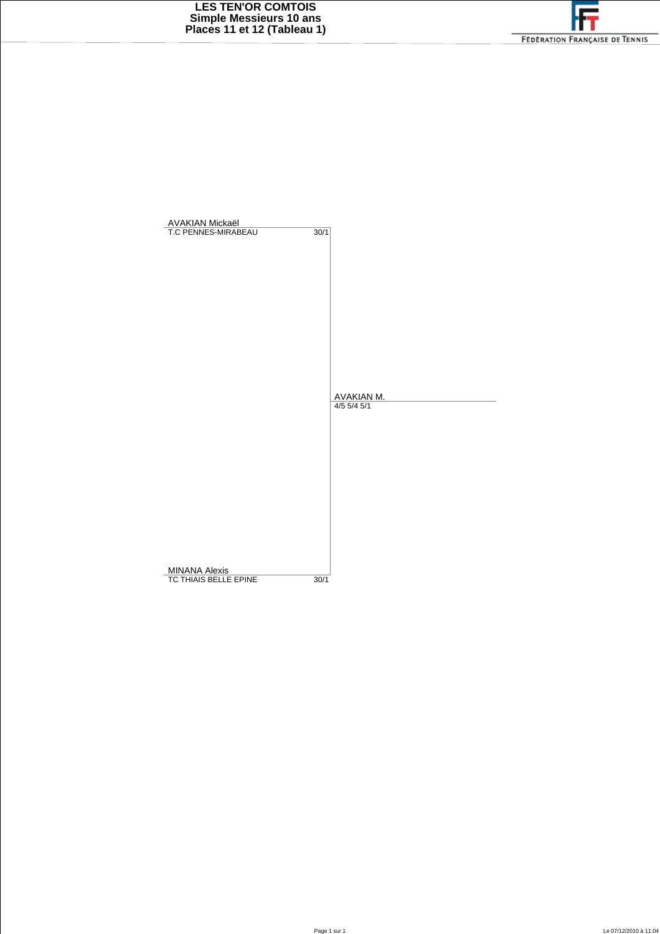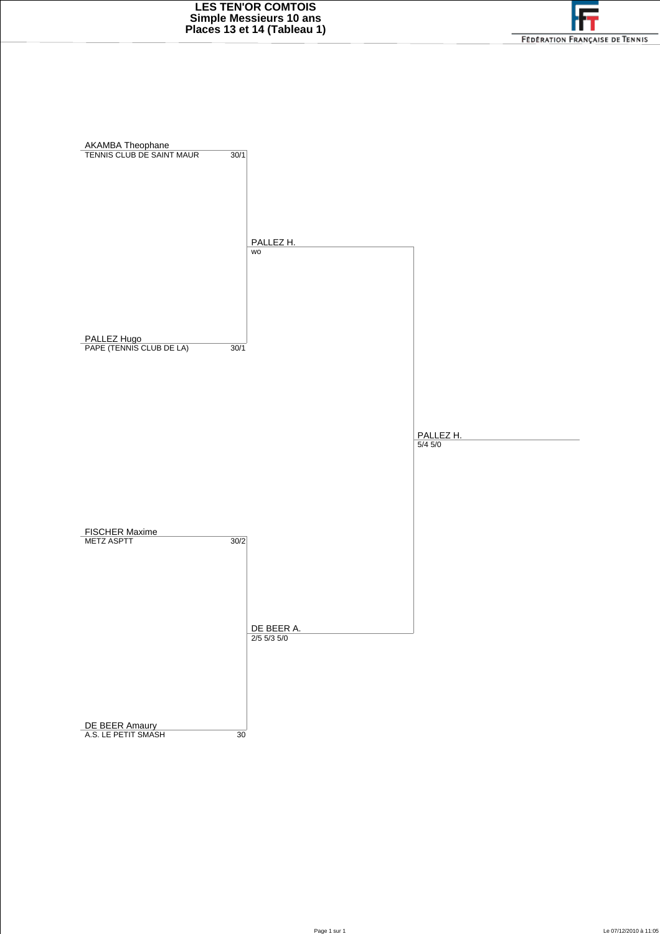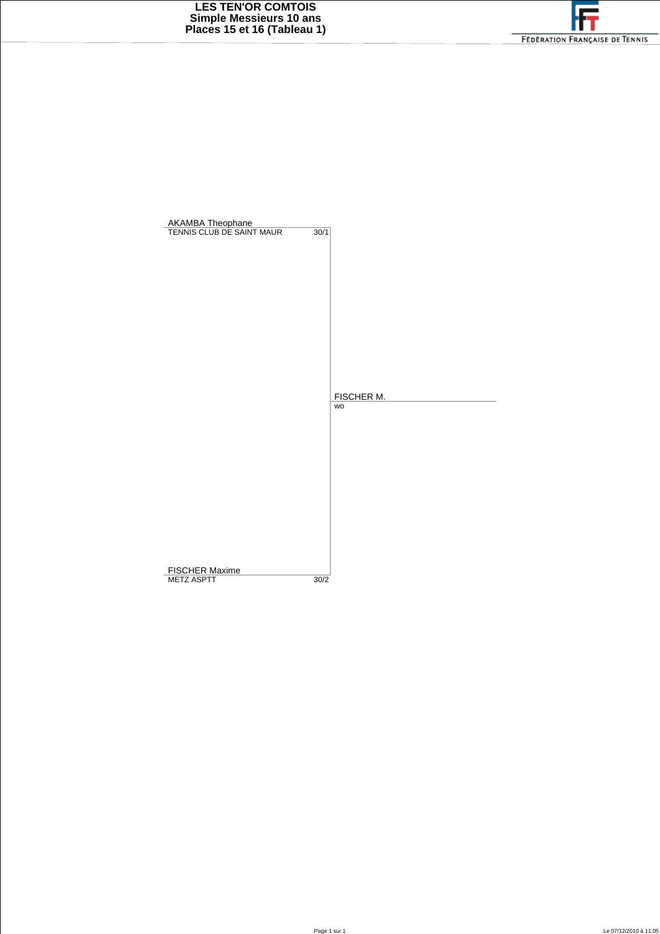| <b>AKAMBA Theophane</b><br>TENNIS CLUB DE SAINT MAUR | $\overline{30/1}$ |
|------------------------------------------------------|-------------------|
|                                                      |                   |
|                                                      |                   |
|                                                      |                   |
|                                                      |                   |
|                                                      |                   |
|                                                      |                   |
|                                                      |                   |
|                                                      |                   |
|                                                      | FISCHER M.        |
|                                                      | WO                |
|                                                      |                   |
|                                                      |                   |
|                                                      |                   |
|                                                      |                   |
|                                                      |                   |
|                                                      |                   |
|                                                      |                   |
|                                                      |                   |
| <b>FISCHER Maxime</b><br><b>METZ ASPTT</b>           | 30/2              |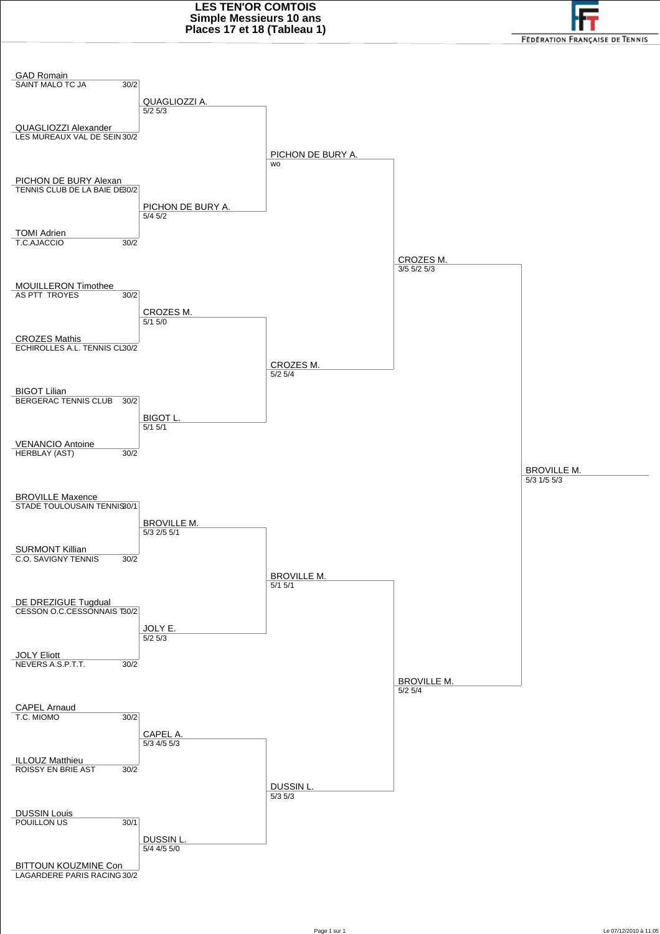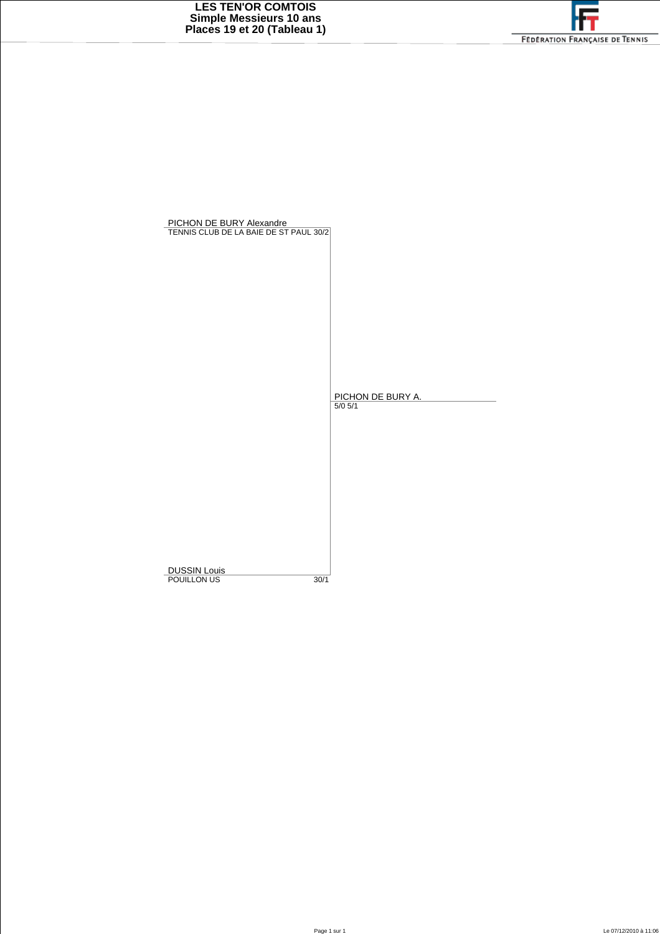| PICHON DE BURY Alexandre<br>TENNIS CLUB DE LA BAIE DE ST PAUL 30/2 |      |                                  |
|--------------------------------------------------------------------|------|----------------------------------|
|                                                                    |      |                                  |
|                                                                    |      |                                  |
|                                                                    |      | PICHON DE BURY A.<br>$5/0$ $5/1$ |
|                                                                    |      |                                  |
|                                                                    |      |                                  |
| <b>DUSSIN Louis</b>                                                |      |                                  |
| POUILLON US                                                        | 30/1 |                                  |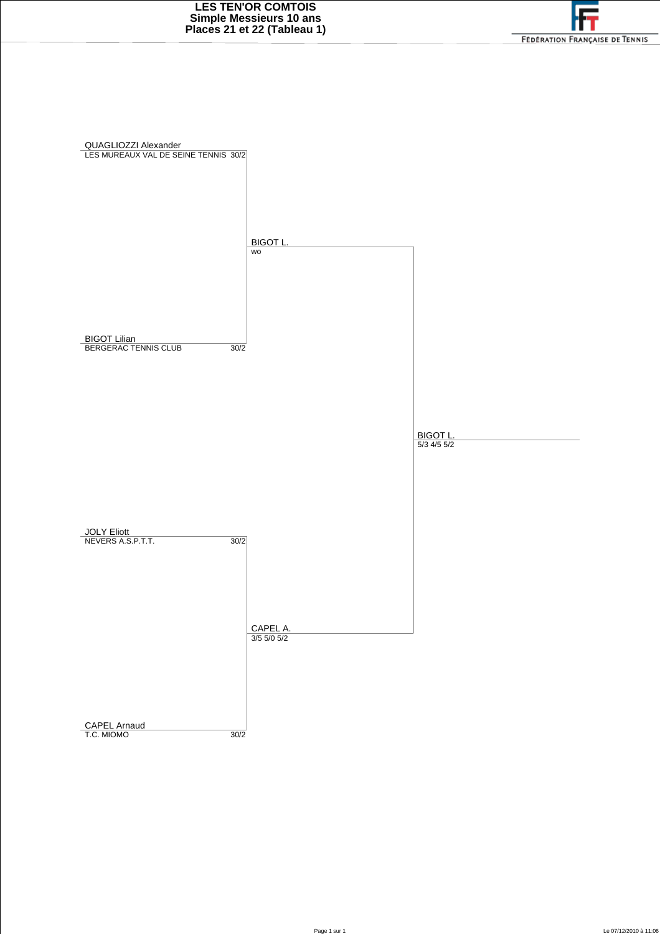

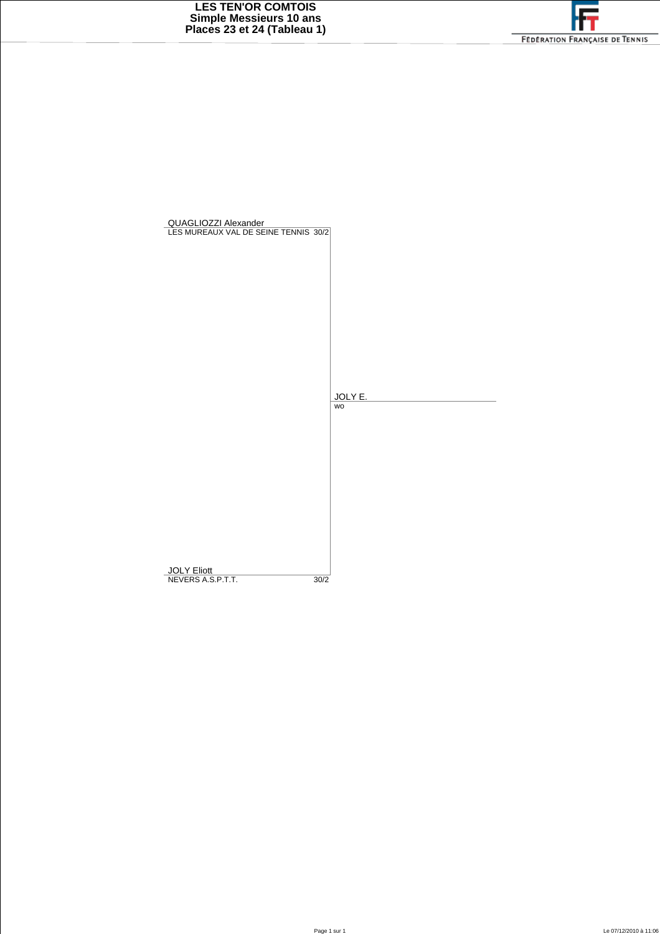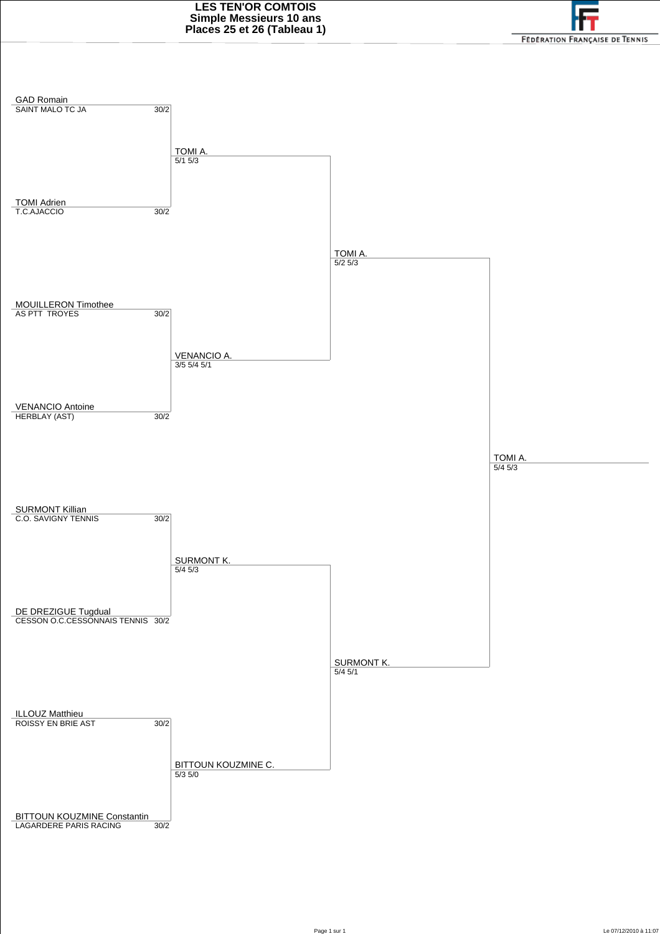

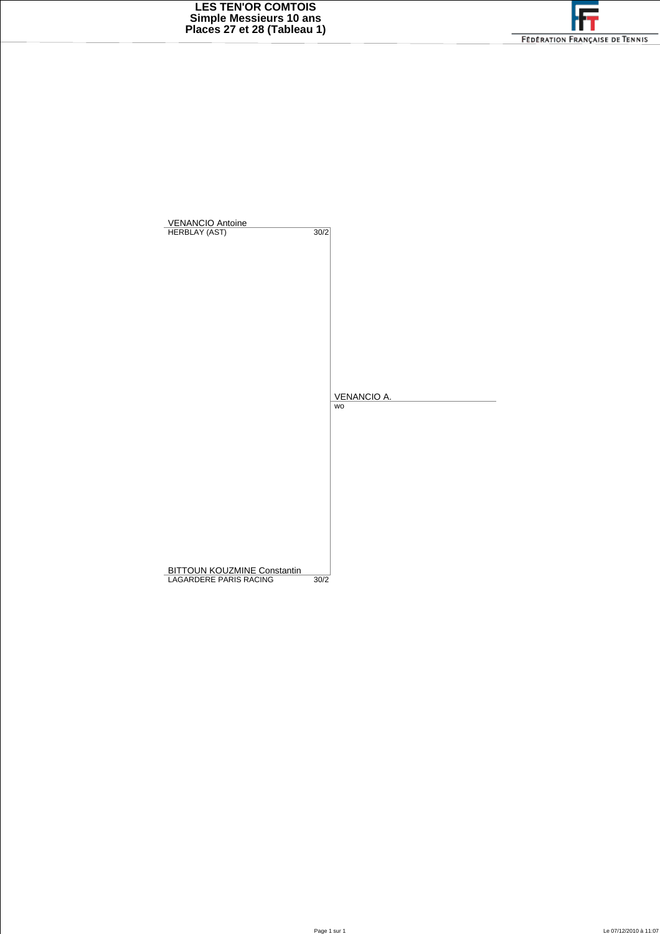

| VENANCIO Antoine<br>HERBLAY (AST)  |      |             |
|------------------------------------|------|-------------|
|                                    | 30/2 |             |
|                                    |      |             |
|                                    |      |             |
|                                    |      |             |
|                                    |      |             |
|                                    |      |             |
|                                    |      |             |
|                                    |      |             |
|                                    |      |             |
|                                    |      |             |
|                                    |      |             |
|                                    |      |             |
|                                    |      |             |
|                                    |      | VENANCIO A. |
|                                    |      | wo          |
|                                    |      |             |
|                                    |      |             |
|                                    |      |             |
|                                    |      |             |
|                                    |      |             |
|                                    |      |             |
|                                    |      |             |
|                                    |      |             |
|                                    |      |             |
|                                    |      |             |
|                                    |      |             |
|                                    |      |             |
|                                    |      |             |
| <b>BITTOUN KOUZMINE Constantin</b> |      |             |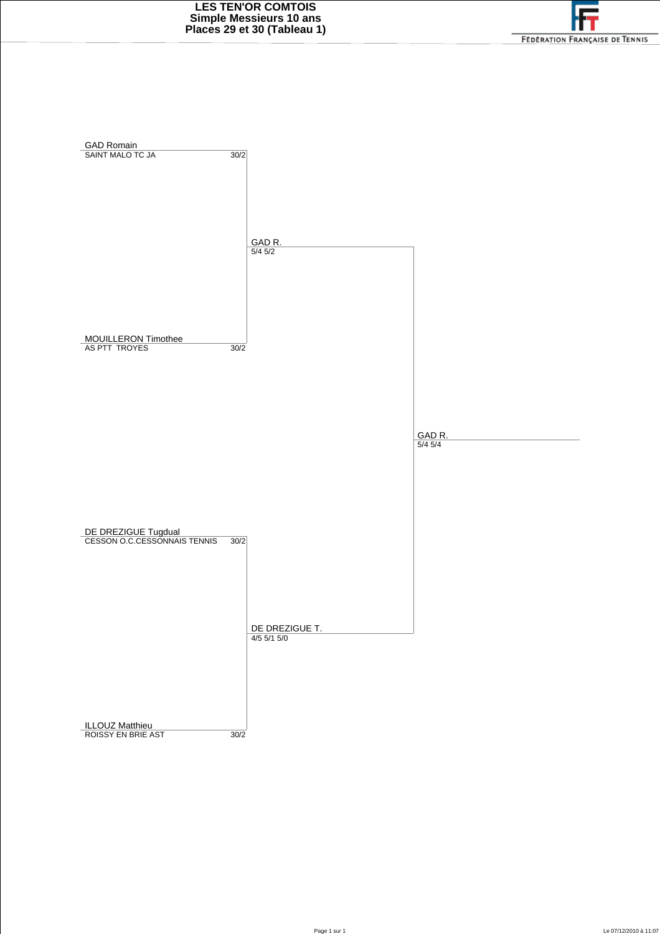